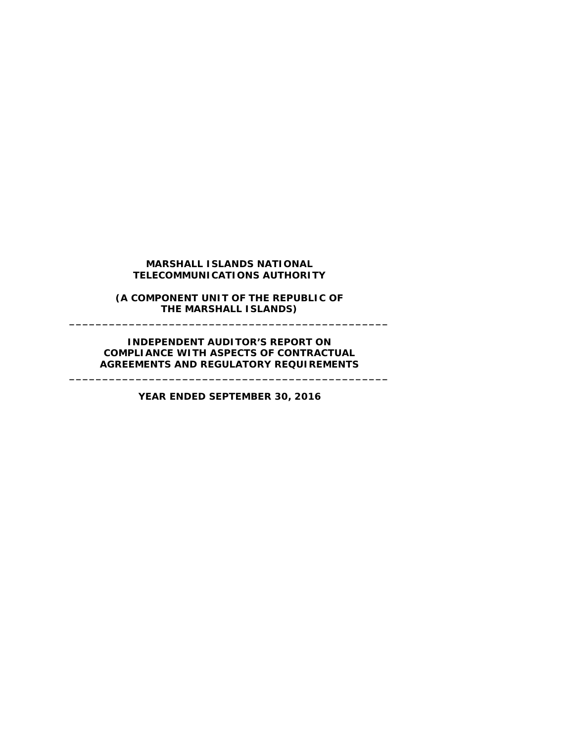#### **MARSHALL ISLANDS NATIONAL TELECOMMUNICATIONS AUTHORITY**

#### **(A COMPONENT UNIT OF THE REPUBLIC OF THE MARSHALL ISLANDS) \_\_\_\_\_\_\_\_\_\_\_\_\_\_\_\_\_\_\_\_\_\_\_\_\_\_\_\_\_\_\_\_\_\_\_\_\_\_\_\_\_\_\_\_\_\_\_\_**

#### **INDEPENDENT AUDITOR'S REPORT ON COMPLIANCE WITH ASPECTS OF CONTRACTUAL AGREEMENTS AND REGULATORY REQUIREMENTS**

**\_\_\_\_\_\_\_\_\_\_\_\_\_\_\_\_\_\_\_\_\_\_\_\_\_\_\_\_\_\_\_\_\_\_\_\_\_\_\_\_\_\_\_\_\_\_\_\_**

**YEAR ENDED SEPTEMBER 30, 2016**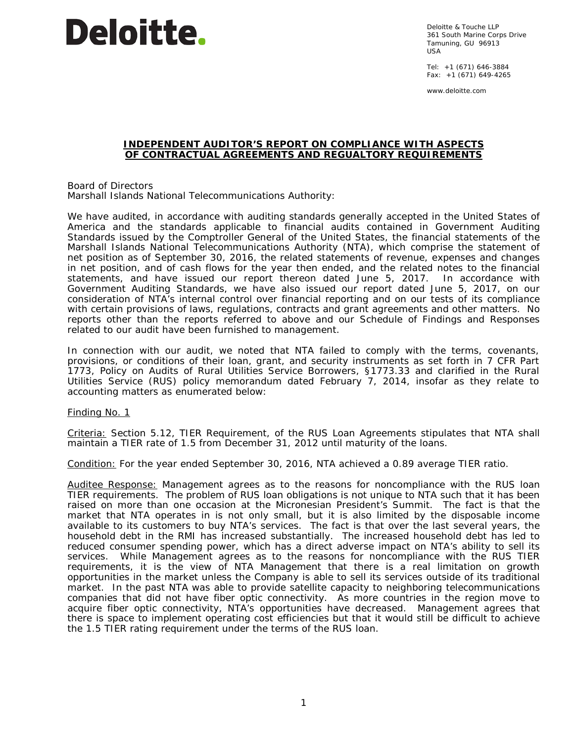# **Deloitte.**

Deloitte & Touche LLP 361 South Marine Corps Drive Tamuning, GU 96913 USA

Tel: +1 (671) 646-3884 Fax: +1 (671) 649-4265

www.deloitte.com

#### **INDEPENDENT AUDITOR'S REPORT ON COMPLIANCE WITH ASPECTS OF CONTRACTUAL AGREEMENTS AND REGUALTORY REQUIREMENTS**

Board of Directors Marshall Islands National Telecommunications Authority:

We have audited, in accordance with auditing standards generally accepted in the United States of America and the standards applicable to financial audits contained in *Government Auditing Standards* issued by the Comptroller General of the United States, the financial statements of the Marshall Islands National Telecommunications Authority (NTA), which comprise the statement of net position as of September 30, 2016, the related statements of revenue, expenses and changes in net position, and of cash flows for the year then ended, and the related notes to the financial statements, and have issued our report thereon dated June 5, 2017. In accordance with *Government Auditing Standards*, we have also issued our report dated June 5, 2017, on our consideration of NTA's internal control over financial reporting and on our tests of its compliance with certain provisions of laws, regulations, contracts and grant agreements and other matters. No reports other than the reports referred to above and our Schedule of Findings and Responses related to our audit have been furnished to management.

In connection with our audit, we noted that NTA failed to comply with the terms, covenants, provisions, or conditions of their loan, grant, and security instruments as set forth in 7 CFR Part 1773, *Policy on Audits of Rural Utilities Service Borrowers*, §1773.33 and clarified in the Rural Utilities Service (RUS) policy memorandum dated February 7, 2014, insofar as they relate to accounting matters as enumerated below:

Finding No. 1

Criteria: Section 5.12, *TIER Requirement*, of the RUS Loan Agreements stipulates that NTA shall maintain a TIER rate of 1.5 from December 31, 2012 until maturity of the loans.

Condition: For the year ended September 30, 2016, NTA achieved a 0.89 average TIER ratio.

Auditee Response: Management agrees as to the reasons for noncompliance with the RUS loan TIER requirements. The problem of RUS loan obligations is not unique to NTA such that it has been raised on more than one occasion at the Micronesian President's Summit. The fact is that the market that NTA operates in is not only small, but it is also limited by the disposable income available to its customers to buy NTA's services. The fact is that over the last several years, the household debt in the RMI has increased substantially. The increased household debt has led to reduced consumer spending power, which has a direct adverse impact on NTA's ability to sell its services. While Management agrees as to the reasons for noncompliance with the RUS TIER requirements, it is the view of NTA Management that there is a real limitation on growth opportunities in the market unless the Company is able to sell its services outside of its traditional market. In the past NTA was able to provide satellite capacity to neighboring telecommunications companies that did not have fiber optic connectivity. As more countries in the region move to acquire fiber optic connectivity, NTA's opportunities have decreased. Management agrees that there is space to implement operating cost efficiencies but that it would still be difficult to achieve the 1.5 TIER rating requirement under the terms of the RUS loan.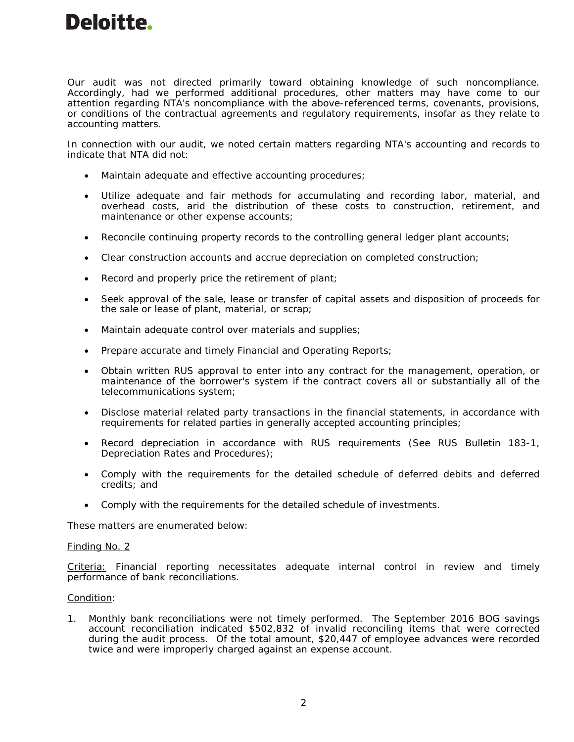### **Deloitte.**

Our audit was not directed primarily toward obtaining knowledge of such noncompliance. Accordingly, had we performed additional procedures, other matters may have come to our attention regarding NTA's noncompliance with the above-referenced terms, covenants, provisions, or conditions of the contractual agreements and regulatory requirements, insofar as they relate to accounting matters.

In connection with our audit, we noted certain matters regarding NTA's accounting and records to indicate that NTA did not:

- Maintain adequate and effective accounting procedures;
- Utilize adequate and fair methods for accumulating and recording labor, material, and overhead costs, arid the distribution of these costs to construction, retirement, and maintenance or other expense accounts;
- Reconcile continuing property records to the controlling general ledger plant accounts;
- Clear construction accounts and accrue depreciation on completed construction;
- Record and properly price the retirement of plant;
- Seek approval of the sale, lease or transfer of capital assets and disposition of proceeds for the sale or lease of plant, material, or scrap;
- Maintain adequate control over materials and supplies;
- Prepare accurate and timely Financial and Operating Reports;
- Obtain written RUS approval to enter into any contract for the management, operation, or maintenance of the borrower's system if the contract covers all or substantially all of the telecommunications system;
- Disclose material related party transactions in the financial statements, in accordance with requirements for related parties in generally accepted accounting principles;
- Record depreciation in accordance with RUS requirements (See RUS Bulletin 183-1, Depreciation Rates and Procedures);
- Comply with the requirements for the detailed schedule of deferred debits and deferred credits; and
- Comply with the requirements for the detailed schedule of investments.

These matters are enumerated below:

#### Finding No. 2

Criteria: Financial reporting necessitates adequate internal control in review and timely performance of bank reconciliations.

#### Condition:

1. Monthly bank reconciliations were not timely performed. The September 2016 BOG savings account reconciliation indicated \$502,832 of invalid reconciling items that were corrected during the audit process. Of the total amount, \$20,447 of employee advances were recorded twice and were improperly charged against an expense account.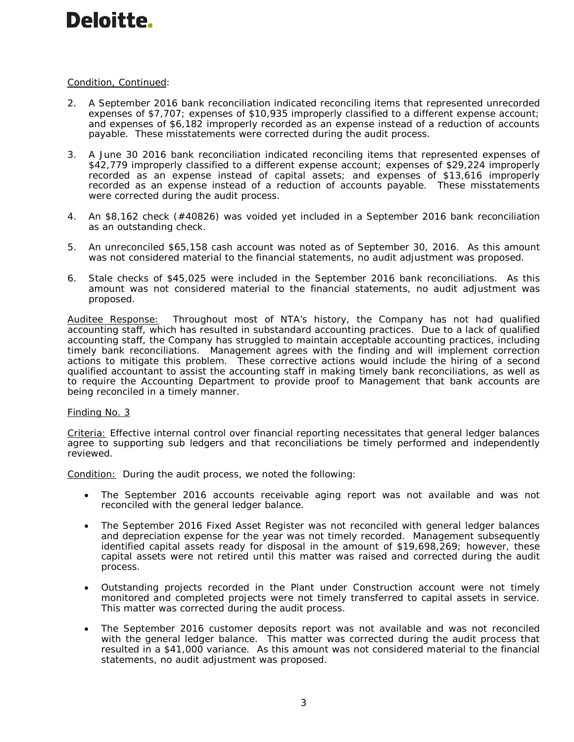## **Deloitte.**

#### Condition, Continued:

- 2. A September 2016 bank reconciliation indicated reconciling items that represented unrecorded expenses of \$7,707; expenses of \$10,935 improperly classified to a different expense account; and expenses of \$6,182 improperly recorded as an expense instead of a reduction of accounts payable. These misstatements were corrected during the audit process.
- 3. A June 30 2016 bank reconciliation indicated reconciling items that represented expenses of \$42,779 improperly classified to a different expense account; expenses of \$29,224 improperly recorded as an expense instead of capital assets; and expenses of \$13,616 improperly recorded as an expense instead of a reduction of accounts payable. These misstatements were corrected during the audit process.
- 4. An \$8,162 check (#40826) was voided yet included in a September 2016 bank reconciliation as an outstanding check.
- 5. An unreconciled \$65,158 cash account was noted as of September 30, 2016. As this amount was not considered material to the financial statements, no audit adjustment was proposed.
- 6. Stale checks of \$45,025 were included in the September 2016 bank reconciliations. As this amount was not considered material to the financial statements, no audit adjustment was proposed.

Auditee Response: Throughout most of NTA's history, the Company has not had qualified accounting staff, which has resulted in substandard accounting practices. Due to a lack of qualified accounting staff, the Company has struggled to maintain acceptable accounting practices, including timely bank reconciliations. Management agrees with the finding and will implement correction actions to mitigate this problem. These corrective actions would include the hiring of a second qualified accountant to assist the accounting staff in making timely bank reconciliations, as well as to require the Accounting Department to provide proof to Management that bank accounts are being reconciled in a timely manner.

#### Finding No. 3

Criteria: Effective internal control over financial reporting necessitates that general ledger balances agree to supporting sub ledgers and that reconciliations be timely performed and independently reviewed.

Condition: During the audit process, we noted the following:

- The September 2016 accounts receivable aging report was not available and was not reconciled with the general ledger balance.
- The September 2016 Fixed Asset Register was not reconciled with general ledger balances and depreciation expense for the year was not timely recorded. Management subsequently identified capital assets ready for disposal in the amount of \$19,698,269; however, these capital assets were not retired until this matter was raised and corrected during the audit process.
- Outstanding projects recorded in the Plant under Construction account were not timely monitored and completed projects were not timely transferred to capital assets in service. This matter was corrected during the audit process.
- The September 2016 customer deposits report was not available and was not reconciled with the general ledger balance. This matter was corrected during the audit process that resulted in a \$41,000 variance. As this amount was not considered material to the financial statements, no audit adjustment was proposed.